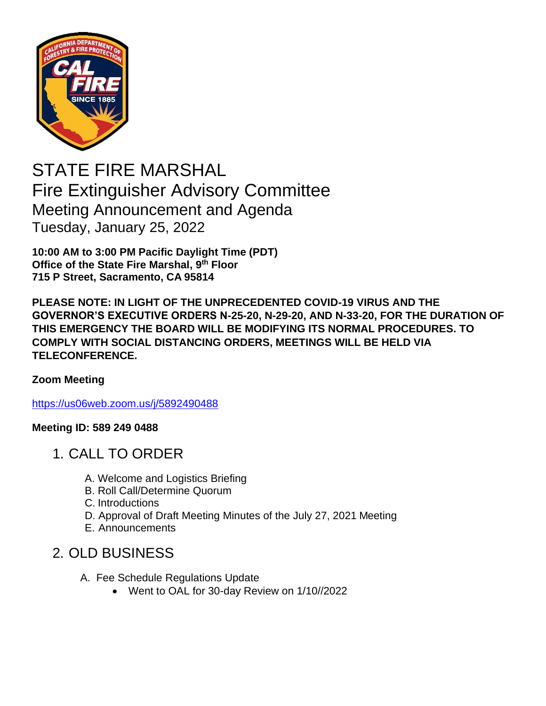

STATE FIRE MARSHAL Fire Extinguisher Advisory Committee Meeting Announcement and Agenda Tuesday, January 25, 2022

**10:00 AM to 3:00 PM Pacific Daylight Time (PDT) Office of the State Fire Marshal, 9 th Floor 715 P Street, Sacramento, CA 95814**

**PLEASE NOTE: IN LIGHT OF THE UNPRECEDENTED COVID-19 VIRUS AND THE GOVERNOR'S EXECUTIVE ORDERS N-25-20, N-29-20, AND N-33-20, FOR THE DURATION OF THIS EMERGENCY THE BOARD WILL BE MODIFYING ITS NORMAL PROCEDURES. TO COMPLY WITH SOCIAL DISTANCING ORDERS, MEETINGS WILL BE HELD VIA TELECONFERENCE.**

## **Zoom Meeting**

[https://us06web.zoom.us/j/5892490488](https://gcc02.safelinks.protection.outlook.com/?url=https%3A%2F%2Fus06web.zoom.us%2Fj%2F5892490488&data=04%7C01%7CJeffrey.Schwartz%40fire.ca.gov%7Cee04a4ce1b1d4594613c08d9d6c2af7b%7C447a4ca05405454dad68c98a520261f8%7C1%7C0%7C637776953923819949%7CUnknown%7CTWFpbGZsb3d8eyJWIjoiMC4wLjAwMDAiLCJQIjoiV2luMzIiLCJBTiI6Ik1haWwiLCJXVCI6Mn0%3D%7C3000&sdata=lkIuin2UROKLHgLPqBb0H6Y%2FRBhOvro0%2FbNEjHHbA3g%3D&reserved=0)

## **Meeting ID: 589 249 0488**

- 1. CALL TO ORDER
	- A. Welcome and Logistics Briefing
	- B. Roll Call/Determine Quorum
	- C. Introductions
	- D. Approval of Draft Meeting Minutes of the July 27, 2021 Meeting
	- E. Announcements

## 2. OLD BUSINESS

- A. Fee Schedule Regulations Update
	- Went to OAL for 30-day Review on 1/10//2022